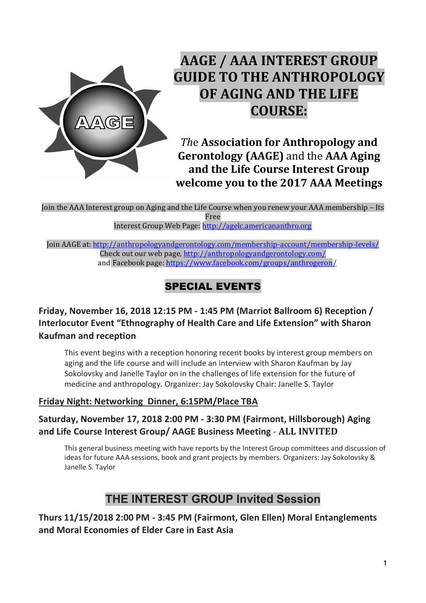

# **AAGE / AAA INTEREST GROUP GUIDE TO THE ANTHROPOLOGY OF AGING AND THE LIFE COURSE:**

*The Association for Anthropology and* **Gerontology (AAGE)** and the **AAA Aging** and the Life Course Interest Group **welcome you to the 2017 AAA Meetings**

Join the AAA Interest group on Aging and the Life Course when you renew your AAA membership – Its Free 

Interest Group Web Page: http://agelc.americananthro.org

Join AAGE at: http://anthropologyandgerontology.com/membership-account/membership-levels/ Check out our web page, http://anthropologyandgerontology.com/ and Facebook page: https://www.facebook.com/groups/anthrogeron/

## SPECIAL EVENTS

**Friday, November 16, 2018 12:15 PM - 1:45 PM (Marriot Ballroom 6) Reception / Interlocutor Event "Ethnography of Health Care and Life Extension" with Sharon Kaufman and reception**

This event begins with a reception honoring recent books by interest group members on aging and the life course and will include an interview with Sharon Kaufman by Jay Sokolovsky and Janelle Taylor on in the challenges of life extension for the future of medicine and anthropology. Organizer: Jay Sokolovsky Chair: Janelle S. Taylor

#### **Friday Night: Networking Dinner, 6:15PM/Place TBA**

### **Saturday, November 17, 2018 2:00 PM - 3:30 PM (Fairmont, Hillsborough) Aging and Life Course Interest Group/ AAGE Business Meeting** - **ALL INVITED**

This general business meeting with have reports by the Interest Group committees and discussion of ideas for future AAA sessions, book and grant projects by members. Organizers: Jay Sokolovsky & Janelle S. Taylor

## **THE INTEREST GROUP Invited Session**

**Thurs 11/15/2018 2:00 PM - 3:45 PM (Fairmont, Glen Ellen) Moral Entanglements and Moral Economies of Elder Care in East Asia**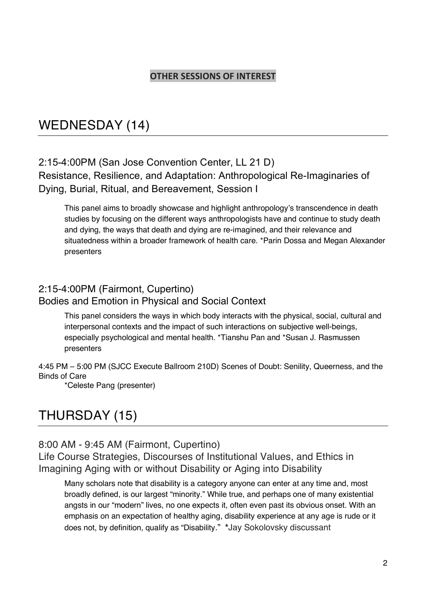#### **OTHER SESSIONS OF INTEREST**

# WEDNESDAY (14)

### 2:15-4:00PM (San Jose Convention Center, LL 21 D)

Resistance, Resilience, and Adaptation: Anthropological Re-Imaginaries of Dying, Burial, Ritual, and Bereavement, Session I

This panel aims to broadly showcase and highlight anthropology's transcendence in death studies by focusing on the different ways anthropologists have and continue to study death and dying, the ways that death and dying are re-imagined, and their relevance and situatedness within a broader framework of health care. \*Parin Dossa and Megan Alexander presenters

#### 2:15-4:00PM (Fairmont, Cupertino) Bodies and Emotion in Physical and Social Context

This panel considers the ways in which body interacts with the physical, social, cultural and interpersonal contexts and the impact of such interactions on subjective well-beings, especially psychological and mental health. \*Tianshu Pan and \*Susan J. Rasmussen presenters

4:45 PM – 5:00 PM (SJCC Execute Ballroom 210D) Scenes of Doubt: Senility, Queerness, and the Binds of Care

\*Celeste Pang (presenter)

# THURSDAY (15)

#### 8:00 AM - 9:45 AM (Fairmont, Cupertino)

Life Course Strategies, Discourses of Institutional Values, and Ethics in Imagining Aging with or without Disability or Aging into Disability

Many scholars note that disability is a category anyone can enter at any time and, most broadly defined, is our largest "minority." While true, and perhaps one of many existential angsts in our "modern" lives, no one expects it, often even past its obvious onset. With an emphasis on an expectation of healthy aging, disability experience at any age is rude or it does not, by definition, qualify as "Disability." **\***Jay Sokolovsky discussant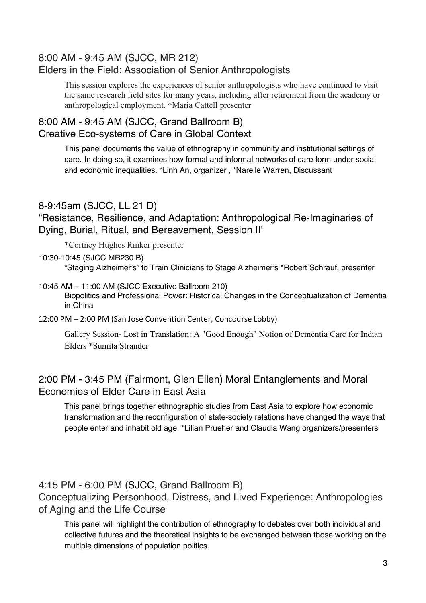### 8:00 AM - 9:45 AM (SJCC, MR 212) Elders in the Field: Association of Senior Anthropologists

This session explores the experiences of senior anthropologists who have continued to visit the same research field sites for many years, including after retirement from the academy or anthropological employment. \*Maria Cattell presenter

### 8:00 AM - 9:45 AM (SJCC, Grand Ballroom B) Creative Eco-systems of Care in Global Context

This panel documents the value of ethnography in community and institutional settings of care. In doing so, it examines how formal and informal networks of care form under social and economic inequalities. \*Linh An, organizer , \*Narelle Warren, Discussant

#### 8-9:45am (SJCC, LL 21 D)

"Resistance, Resilience, and Adaptation: Anthropological Re-Imaginaries of Dying, Burial, Ritual, and Bereavement, Session II'

\*Cortney Hughes Rinker presenter

#### 10:30-10:45 (SJCC MR230 B)

"Staging Alzheimer's" to Train Clinicians to Stage Alzheimer's \*Robert Schrauf, presenter

#### 10:45 AM – 11:00 AM (SJCC Executive Ballroom 210)

Biopolitics and Professional Power: Historical Changes in the Conceptualization of Dementia in China

12:00 PM – 2:00 PM (San Jose Convention Center, Concourse Lobby)

Gallery Session- Lost in Translation: A "Good Enough" Notion of Dementia Care for Indian Elders \*Sumita Strander

### 2:00 PM - 3:45 PM (Fairmont, Glen Ellen) Moral Entanglements and Moral Economies of Elder Care in East Asia

This panel brings together ethnographic studies from East Asia to explore how economic transformation and the reconfiguration of state-society relations have changed the ways that people enter and inhabit old age. \*Lilian Prueher and Claudia Wang organizers/presenters

### 4:15 PM - 6:00 PM (SJCC, Grand Ballroom B)

Conceptualizing Personhood, Distress, and Lived Experience: Anthropologies of Aging and the Life Course

This panel will highlight the contribution of ethnography to debates over both individual and collective futures and the theoretical insights to be exchanged between those working on the multiple dimensions of population politics.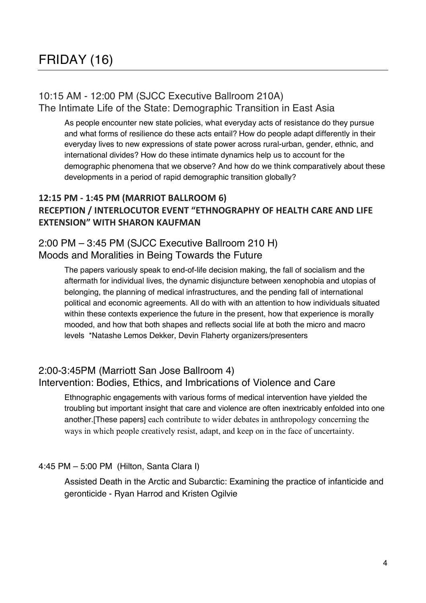#### 10:15 AM - 12:00 PM (SJCC Executive Ballroom 210A) The Intimate Life of the State: Demographic Transition in East Asia

As people encounter new state policies, what everyday acts of resistance do they pursue and what forms of resilience do these acts entail? How do people adapt differently in their everyday lives to new expressions of state power across rural-urban, gender, ethnic, and international divides? How do these intimate dynamics help us to account for the demographic phenomena that we observe? And how do we think comparatively about these developments in a period of rapid demographic transition globally?

#### **12:15 PM - 1:45 PM (MARRIOT BALLROOM 6) RECEPTION / INTERLOCUTOR EVENT "ETHNOGRAPHY OF HEALTH CARE AND LIFE EXTENSION" WITH SHARON KAUFMAN**

#### 2:00 PM – 3:45 PM (SJCC Executive Ballroom 210 H) Moods and Moralities in Being Towards the Future

The papers variously speak to end-of-life decision making, the fall of socialism and the aftermath for individual lives, the dynamic disjuncture between xenophobia and utopias of belonging, the planning of medical infrastructures, and the pending fall of international political and economic agreements. All do with with an attention to how individuals situated within these contexts experience the future in the present, how that experience is morally mooded, and how that both shapes and reflects social life at both the micro and macro levels \*Natashe Lemos Dekker, Devin Flaherty organizers/presenters

#### 2:00-3:45PM (Marriott San Jose Ballroom 4) Intervention: Bodies, Ethics, and Imbrications of Violence and Care

Ethnographic engagements with various forms of medical intervention have yielded the troubling but important insight that care and violence are often inextricably enfolded into one another.[These papers] each contribute to wider debates in anthropology concerning the ways in which people creatively resist, adapt, and keep on in the face of uncertainty.

#### 4:45 PM – 5:00 PM (Hilton, Santa Clara I)

Assisted Death in the Arctic and Subarctic: Examining the practice of infanticide and geronticide - Ryan Harrod and Kristen Ogilvie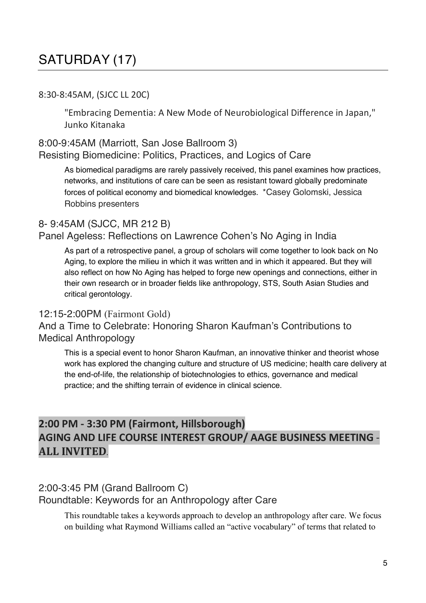# SATURDAY (17)

#### 8:30-8:45AM, (SJCC LL 20C)

"Embracing Dementia: A New Mode of Neurobiological Difference in Japan," Junko Kitanaka

#### 8:00-9:45AM (Marriott, San Jose Ballroom 3) Resisting Biomedicine: Politics, Practices, and Logics of Care

As biomedical paradigms are rarely passively received, this panel examines how practices, networks, and institutions of care can be seen as resistant toward globally predominate forces of political economy and biomedical knowledges. \*Casey Golomski, Jessica Robbins presenters

### 8- 9:45AM (SJCC, MR 212 B)

#### Panel Ageless: Reflections on Lawrence Cohen's No Aging in India

As part of a retrospective panel, a group of scholars will come together to look back on No Aging, to explore the milieu in which it was written and in which it appeared. But they will also reflect on how No Aging has helped to forge new openings and connections, either in their own research or in broader fields like anthropology, STS, South Asian Studies and critical gerontology.

#### 12:15-2:00PM (Fairmont Gold)

#### And a Time to Celebrate: Honoring Sharon Kaufman's Contributions to Medical Anthropology

This is a special event to honor Sharon Kaufman, an innovative thinker and theorist whose work has explored the changing culture and structure of US medicine; health care delivery at the end-of-life, the relationship of biotechnologies to ethics, governance and medical practice; and the shifting terrain of evidence in clinical science.

### **2:00 PM - 3:30 PM (Fairmont, Hillsborough) AGING AND LIFE COURSE INTEREST GROUP/ AAGE BUSINESS MEETING** - **ALL INVITED**.

#### 2:00-3:45 PM (Grand Ballroom C)

Roundtable: Keywords for an Anthropology after Care

This roundtable takes a keywords approach to develop an anthropology after care. We focus on building what Raymond Williams called an "active vocabulary" of terms that related to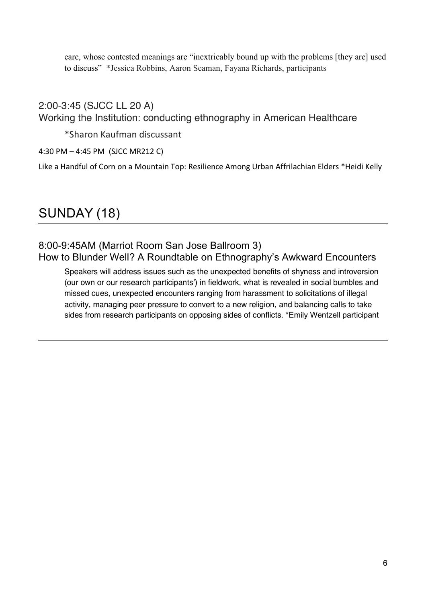care, whose contested meanings are "inextricably bound up with the problems [they are] used to discuss" \*Jessica Robbins, Aaron Seaman, Fayana Richards, participants

2:00-3:45 (SJCC LL 20 A) Working the Institution: conducting ethnography in American Healthcare

\*Sharon Kaufman discussant

4:30 PM – 4:45 PM (SJCC MR212 C)

Like a Handful of Corn on a Mountain Top: Resilience Among Urban Affrilachian Elders \*Heidi Kelly

# SUNDAY (18)

#### 8:00-9:45AM (Marriot Room San Jose Ballroom 3) How to Blunder Well? A Roundtable on Ethnography's Awkward Encounters

Speakers will address issues such as the unexpected benefits of shyness and introversion (our own or our research participants') in fieldwork, what is revealed in social bumbles and missed cues, unexpected encounters ranging from harassment to solicitations of illegal activity, managing peer pressure to convert to a new religion, and balancing calls to take sides from research participants on opposing sides of conflicts. \*Emily Wentzell participant